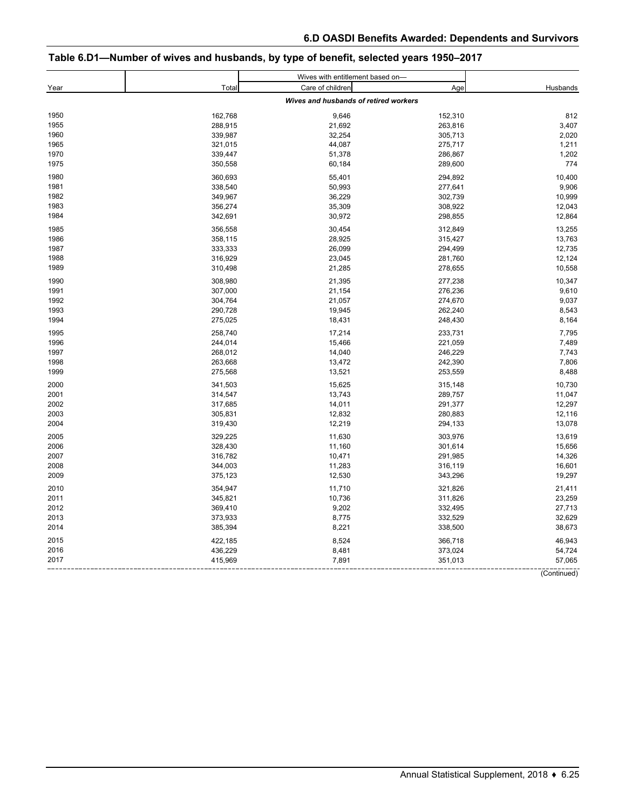# **Table 6.D1—Number of wives and husbands, by type of benefit, selected years 1950–2017**

|      |         | Wives with entitlement based on-      |         |          |
|------|---------|---------------------------------------|---------|----------|
| Year | Total   | Care of children                      | Age     | Husbands |
|      |         | Wives and husbands of retired workers |         |          |
| 1950 | 162,768 | 9,646                                 | 152,310 | 812      |
| 1955 | 288,915 | 21,692                                | 263,816 | 3,407    |
| 1960 | 339,987 | 32,254                                | 305,713 | 2,020    |
| 1965 | 321,015 | 44,087                                | 275,717 | 1,211    |
| 1970 | 339,447 | 51,378                                | 286,867 | 1,202    |
| 1975 | 350,558 | 60,184                                | 289,600 | 774      |
| 1980 | 360,693 | 55,401                                | 294,892 | 10,400   |
| 1981 | 338,540 | 50,993                                | 277,641 | 9,906    |
| 1982 | 349,967 | 36,229                                | 302,739 | 10,999   |
| 1983 | 356,274 | 35,309                                | 308,922 | 12,043   |
| 1984 | 342,691 | 30,972                                | 298,855 | 12,864   |
| 1985 | 356,558 | 30,454                                | 312,849 | 13,255   |
| 1986 | 358,115 | 28,925                                | 315,427 | 13,763   |
| 1987 | 333,333 | 26,099                                | 294,499 | 12,735   |
| 1988 | 316,929 | 23,045                                | 281,760 | 12,124   |
| 1989 | 310,498 | 21,285                                | 278,655 | 10,558   |
| 1990 | 308,980 | 21,395                                | 277,238 | 10,347   |
| 1991 | 307,000 | 21,154                                | 276,236 | 9,610    |
| 1992 | 304,764 | 21,057                                | 274,670 | 9,037    |
| 1993 | 290,728 | 19,945                                | 262,240 | 8,543    |
| 1994 | 275,025 | 18,431                                | 248,430 | 8,164    |
| 1995 | 258.740 | 17,214                                | 233,731 | 7,795    |
| 1996 | 244,014 | 15,466                                | 221,059 | 7,489    |
| 1997 | 268,012 | 14,040                                | 246,229 | 7,743    |
| 1998 | 263,668 | 13,472                                | 242,390 | 7,806    |
| 1999 | 275,568 | 13,521                                | 253,559 | 8,488    |
| 2000 | 341,503 | 15,625                                | 315,148 | 10,730   |
| 2001 | 314,547 | 13,743                                | 289,757 | 11,047   |
| 2002 | 317,685 | 14,011                                | 291,377 | 12,297   |
| 2003 | 305,831 | 12,832                                | 280,883 | 12,116   |
| 2004 | 319,430 | 12,219                                | 294,133 | 13,078   |
| 2005 | 329,225 | 11,630                                | 303,976 | 13,619   |
| 2006 | 328,430 | 11,160                                | 301,614 | 15,656   |
| 2007 | 316,782 | 10,471                                | 291,985 | 14,326   |
| 2008 | 344,003 | 11,283                                | 316,119 | 16,601   |
| 2009 | 375,123 | 12,530                                | 343,296 | 19,297   |
| 2010 | 354,947 | 11,710                                | 321,826 | 21,411   |
| 2011 | 345,821 | 10,736                                | 311,826 | 23,259   |
| 2012 | 369,410 | 9,202                                 | 332,495 | 27,713   |
| 2013 | 373,933 | 8,775                                 | 332,529 | 32,629   |
| 2014 | 385,394 | 8,221                                 | 338,500 | 38,673   |
| 2015 | 422,185 | 8,524                                 | 366,718 | 46,943   |
| 2016 | 436,229 | 8,481                                 | 373,024 | 54,724   |
| 2017 | 415,969 | 7,891                                 | 351,013 | 57,065   |

(Continued)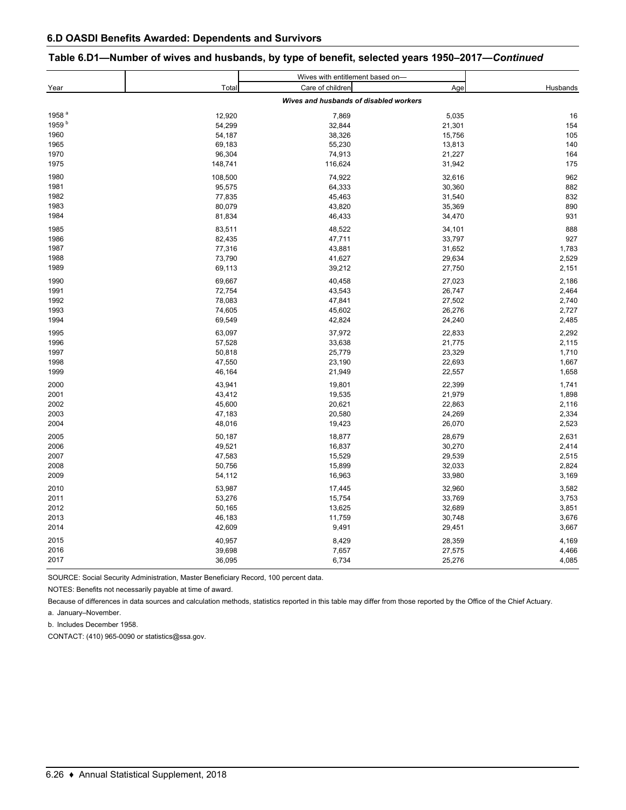| Table 6.D1—Number of wives and husbands, by type of benefit, selected years 1950–2017—Continued |  |  |  |  |  |
|-------------------------------------------------------------------------------------------------|--|--|--|--|--|
|-------------------------------------------------------------------------------------------------|--|--|--|--|--|

|                   |         | Wives with entitlement based on-       |        |          |
|-------------------|---------|----------------------------------------|--------|----------|
| Year              | Total   | Care of children                       | Age    | Husbands |
|                   |         | Wives and husbands of disabled workers |        |          |
| 1958 <sup>a</sup> | 12,920  | 7,869                                  | 5,035  | 16       |
| 1959 <sup>b</sup> | 54,299  | 32,844                                 | 21,301 | 154      |
| 1960              | 54,187  | 38,326                                 | 15,756 | 105      |
| 1965              | 69,183  | 55,230                                 | 13,813 | 140      |
| 1970              | 96,304  | 74,913                                 | 21,227 | 164      |
| 1975              | 148,741 | 116,624                                | 31,942 | 175      |
| 1980              | 108,500 | 74,922                                 | 32,616 | 962      |
| 1981              | 95,575  | 64,333                                 | 30,360 | 882      |
| 1982              | 77,835  | 45,463                                 | 31,540 | 832      |
| 1983              | 80,079  | 43,820                                 | 35,369 | 890      |
| 1984              | 81,834  | 46,433                                 | 34,470 | 931      |
| 1985              | 83,511  | 48,522                                 | 34,101 | 888      |
| 1986              | 82,435  | 47,711                                 | 33,797 | 927      |
| 1987              | 77,316  | 43,881                                 | 31,652 | 1,783    |
| 1988              | 73,790  | 41,627                                 | 29,634 | 2,529    |
| 1989              | 69,113  | 39,212                                 | 27,750 | 2,151    |
| 1990              | 69,667  | 40,458                                 | 27,023 | 2,186    |
| 1991              | 72,754  | 43,543                                 | 26,747 | 2,464    |
| 1992              | 78,083  | 47,841                                 | 27,502 | 2,740    |
| 1993              | 74,605  | 45,602                                 | 26,276 | 2,727    |
| 1994              | 69,549  | 42,824                                 | 24,240 | 2,485    |
| 1995              | 63,097  | 37,972                                 | 22,833 | 2,292    |
| 1996              | 57,528  | 33,638                                 | 21,775 | 2,115    |
| 1997              | 50,818  | 25,779                                 | 23,329 | 1,710    |
| 1998              | 47,550  | 23,190                                 | 22,693 | 1,667    |
| 1999              | 46,164  | 21,949                                 | 22,557 | 1,658    |
| 2000              | 43,941  | 19,801                                 | 22,399 | 1,741    |
| 2001              | 43,412  | 19,535                                 | 21,979 | 1,898    |
| 2002              | 45,600  | 20,621                                 | 22,863 | 2,116    |
| 2003              | 47,183  | 20,580                                 | 24,269 | 2,334    |
| 2004              | 48,016  | 19,423                                 | 26,070 | 2,523    |
| 2005              | 50,187  | 18,877                                 | 28,679 | 2,631    |
| 2006              | 49,521  | 16,837                                 | 30,270 | 2,414    |
| 2007              | 47,583  | 15,529                                 | 29,539 | 2,515    |
| 2008              | 50,756  | 15,899                                 | 32,033 | 2,824    |
| 2009              | 54,112  | 16,963                                 | 33,980 | 3,169    |
| 2010              | 53,987  | 17,445                                 | 32,960 | 3,582    |
| 2011              | 53,276  | 15,754                                 | 33,769 | 3,753    |
| 2012              | 50,165  | 13,625                                 | 32,689 | 3,851    |
| 2013              | 46,183  | 11,759                                 | 30,748 | 3,676    |
| 2014              | 42,609  | 9,491                                  | 29,451 | 3,667    |
| 2015              | 40,957  | 8,429                                  | 28,359 | 4,169    |
| 2016              | 39,698  | 7,657                                  | 27,575 | 4,466    |
| 2017              | 36,095  | 6,734                                  | 25,276 | 4,085    |

SOURCE: Social Security Administration, Master Beneficiary Record, 100 percent data.

NOTES: Benefits not necessarily payable at time of award.

Because of differences in data sources and calculation methods, statistics reported in this table may differ from those reported by the Office of the Chief Actuary.

a. January–November.

b. Includes December 1958.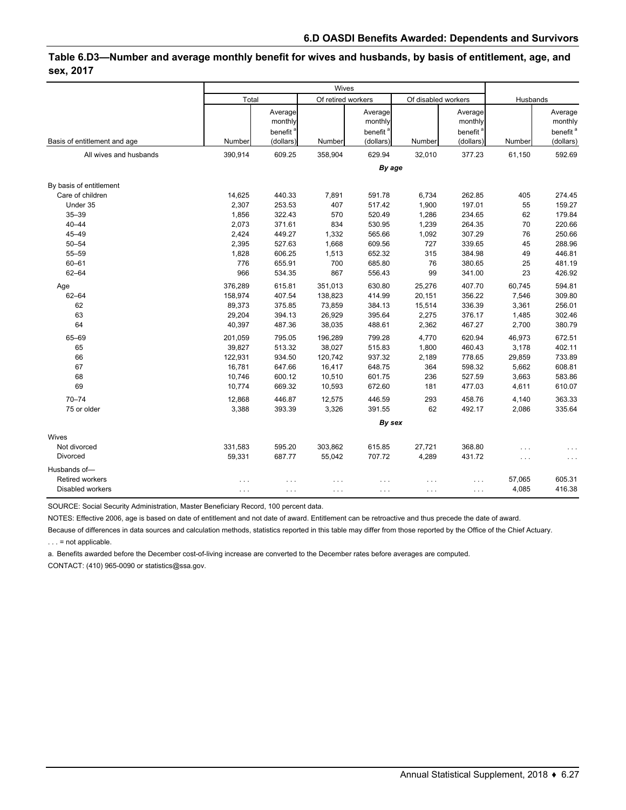### **Table 6.D3—Number and average monthly benefit for wives and husbands, by basis of entitlement, age, and sex, 2017**

|                              |                      |                      | Wives                |                      |                      |                      |          |                      |
|------------------------------|----------------------|----------------------|----------------------|----------------------|----------------------|----------------------|----------|----------------------|
|                              | Total                |                      | Of retired workers   |                      | Of disabled workers  |                      | Husbands |                      |
|                              |                      | Average              |                      | Average              |                      | Average              |          | Average              |
|                              |                      | monthly              |                      | monthly              |                      | monthly              |          | monthly              |
|                              |                      | benefit <sup>a</sup> |                      | benefit <sup>8</sup> |                      | benefit <sup>a</sup> |          | benefit <sup>a</sup> |
| Basis of entitlement and age | Number               | (dollars)            | Number               | (dollars)            | Number               | (dollars)            | Number   | (dollars)            |
| All wives and husbands       | 390,914              | 609.25               | 358,904              | 629.94               | 32,010               | 377.23               | 61,150   | 592.69               |
|                              |                      |                      |                      | By age               |                      |                      |          |                      |
| By basis of entitlement      |                      |                      |                      |                      |                      |                      |          |                      |
| Care of children             | 14,625               | 440.33               | 7,891                | 591.78               | 6,734                | 262.85               | 405      | 274.45               |
| Under 35                     | 2,307                | 253.53               | 407                  | 517.42               | 1,900                | 197.01               | 55       | 159.27               |
| $35 - 39$                    | 1,856                | 322.43               | 570                  | 520.49               | 1,286                | 234.65               | 62       | 179.84               |
| $40 - 44$                    | 2,073                | 371.61               | 834                  | 530.95               | 1,239                | 264.35               | 70       | 220.66               |
| $45 - 49$                    | 2,424                | 449.27               | 1,332                | 565.66               | 1,092                | 307.29               | 76       | 250.66               |
| $50 - 54$                    | 2,395                | 527.63               | 1,668                | 609.56               | 727                  | 339.65               | 45       | 288.96               |
| 55-59                        | 1,828                | 606.25               | 1,513                | 652.32               | 315                  | 384.98               | 49       | 446.81               |
| $60 - 61$                    | 776                  | 655.91               | 700                  | 685.80               | 76                   | 380.65               | 25       | 481.19               |
| $62 - 64$                    | 966                  | 534.35               | 867                  | 556.43               | 99                   | 341.00               | 23       | 426.92               |
| Age                          | 376,289              | 615.81               | 351,013              | 630.80               | 25,276               | 407.70               | 60,745   | 594.81               |
| $62 - 64$                    | 158,974              | 407.54               | 138,823              | 414.99               | 20,151               | 356.22               | 7,546    | 309.80               |
| 62                           | 89,373               | 375.85               | 73,859               | 384.13               | 15,514               | 336.39               | 3,361    | 256.01               |
| 63                           | 29,204               | 394.13               | 26,929               | 395.64               | 2,275                | 376.17               | 1,485    | 302.46               |
| 64                           | 40,397               | 487.36               | 38,035               | 488.61               | 2,362                | 467.27               | 2,700    | 380.79               |
| 65-69                        | 201,059              | 795.05               | 196,289              | 799.28               | 4,770                | 620.94               | 46,973   | 672.51               |
| 65                           | 39,827               | 513.32               | 38,027               | 515.83               | 1,800                | 460.43               | 3,178    | 402.11               |
| 66                           | 122,931              | 934.50               | 120,742              | 937.32               | 2,189                | 778.65               | 29,859   | 733.89               |
| 67                           | 16,781               | 647.66               | 16,417               | 648.75               | 364                  | 598.32               | 5,662    | 608.81               |
| 68                           | 10,746               | 600.12               | 10,510               | 601.75               | 236                  | 527.59               | 3,663    | 583.86               |
| 69                           | 10,774               | 669.32               | 10,593               | 672.60               | 181                  | 477.03               | 4,611    | 610.07               |
| $70 - 74$                    | 12,868               | 446.87               | 12,575               | 446.59               | 293                  | 458.76               | 4,140    | 363.33               |
| 75 or older                  | 3,388                | 393.39               | 3,326                | 391.55               | 62                   | 492.17               | 2,086    | 335.64               |
|                              |                      |                      |                      | By sex               |                      |                      |          |                      |
| Wives                        |                      |                      |                      |                      |                      |                      |          |                      |
| Not divorced                 | 331,583              | 595.20               | 303,862              | 615.85               | 27,721               | 368.80               | .        | .                    |
| Divorced                     | 59,331               | 687.77               | 55,042               | 707.72               | 4,289                | 431.72               | .        | $\cdots$             |
| Husbands of-                 |                      |                      |                      |                      |                      |                      |          |                      |
| <b>Retired workers</b>       | $\cdots$             | $\cdots$             | .                    | $\cdots$             | .                    | .                    | 57,065   | 605.31               |
| Disabled workers             | $\sim$ $\sim$ $\sim$ | $\ldots$             | $\sim$ $\sim$ $\sim$ | $\cdots$             | $\sim$ $\sim$ $\sim$ | $\cdots$             | 4,085    | 416.38               |

SOURCE: Social Security Administration, Master Beneficiary Record, 100 percent data.

NOTES: Effective 2006, age is based on date of entitlement and not date of award. Entitlement can be retroactive and thus precede the date of award.

Because of differences in data sources and calculation methods, statistics reported in this table may differ from those reported by the Office of the Chief Actuary.

. . . = not applicable.

a. Benefits awarded before the December cost-of-living increase are converted to the December rates before averages are computed.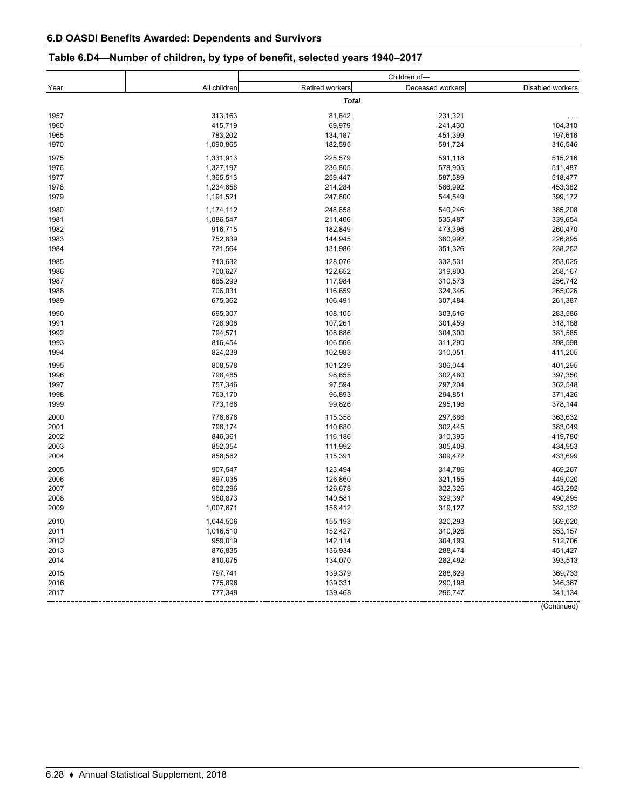## **Table 6.D4—Number of children, by type of benefit, selected years 1940–2017**

|      |              |                        | Children of-     |                  |
|------|--------------|------------------------|------------------|------------------|
| Year | All children | <b>Retired workers</b> | Deceased workers | Disabled workers |
|      |              | <b>Total</b>           |                  |                  |
| 1957 | 313,163      | 81,842                 | 231,321          | $\cdots$         |
| 1960 | 415,719      | 69,979                 | 241,430          | 104,310          |
| 1965 | 783,202      | 134,187                | 451,399          | 197,616          |
| 1970 | 1,090,865    | 182,595                | 591,724          | 316,546          |
| 1975 | 1,331,913    | 225,579                | 591,118          | 515,216          |
| 1976 | 1,327,197    | 236,805                | 578,905          | 511,487          |
| 1977 | 1,365,513    | 259,447                | 587,589          | 518,477          |
| 1978 | 1,234,658    | 214,284                | 566,992          | 453,382          |
| 1979 | 1,191,521    | 247,800                | 544,549          | 399,172          |
| 1980 | 1,174,112    | 248,658                | 540,246          | 385,208          |
| 1981 | 1,086,547    | 211,406                | 535,487          | 339,654          |
| 1982 | 916,715      | 182,849                | 473,396          | 260,470          |
| 1983 | 752,839      | 144,945                | 380,992          | 226,895          |
| 1984 | 721,564      | 131,986                | 351,326          | 238,252          |
| 1985 | 713,632      | 128,076                | 332,531          | 253,025          |
| 1986 | 700,627      | 122,652                | 319,800          | 258,167          |
| 1987 | 685,299      | 117,984                | 310,573          | 256,742          |
| 1988 | 706,031      | 116,659                | 324,346          | 265,026          |
| 1989 | 675,362      | 106,491                | 307,484          | 261,387          |
| 1990 | 695,307      | 108,105                | 303,616          | 283,586          |
| 1991 | 726,908      | 107,261                | 301,459          | 318,188          |
| 1992 | 794,571      | 108,686                | 304,300          | 381,585          |
| 1993 | 816,454      | 106,566                | 311,290          | 398,598          |
| 1994 | 824,239      | 102,983                | 310,051          | 411,205          |
| 1995 | 808,578      | 101,239                | 306,044          | 401,295          |
| 1996 | 798,485      | 98,655                 | 302,480          | 397,350          |
| 1997 | 757,346      | 97,594                 | 297,204          | 362,548          |
| 1998 | 763,170      | 96,893                 | 294,851          | 371,426          |
| 1999 | 773,166      | 99,826                 | 295,196          | 378,144          |
| 2000 | 776,676      | 115,358                | 297,686          | 363,632          |
| 2001 | 796,174      | 110,680                | 302,445          | 383,049          |
| 2002 | 846,361      | 116,186                | 310,395          | 419,780          |
| 2003 | 852,354      | 111,992                | 305,409          | 434,953          |
| 2004 | 858,562      | 115,391                | 309,472          | 433,699          |
| 2005 | 907,547      | 123,494                | 314,786          | 469,267          |
| 2006 | 897,035      | 126,860                | 321,155          | 449,020          |
| 2007 | 902,296      | 126,678                | 322,326          | 453,292          |
| 2008 | 960,873      | 140,581                | 329,397          | 490,895          |
| 2009 | 1,007,671    | 156,412                | 319,127          | 532,132          |
| 2010 | 1,044,506    | 155,193                | 320,293          | 569,020          |
| 2011 | 1,016,510    | 152,427                | 310,926          | 553,157          |
| 2012 | 959,019      | 142,114                | 304,199          | 512,706          |
| 2013 | 876,835      | 136,934                | 288,474          | 451,427          |
| 2014 | 810,075      | 134,070                | 282,492          | 393,513          |
| 2015 | 797,741      | 139,379                | 288,629          | 369,733          |
| 2016 | 775,896      | 139,331                | 290,198          | 346,367          |
| 2017 | 777,349      | 139,468                | 296,747          | 341,134          |
|      |              |                        |                  | (Continued)      |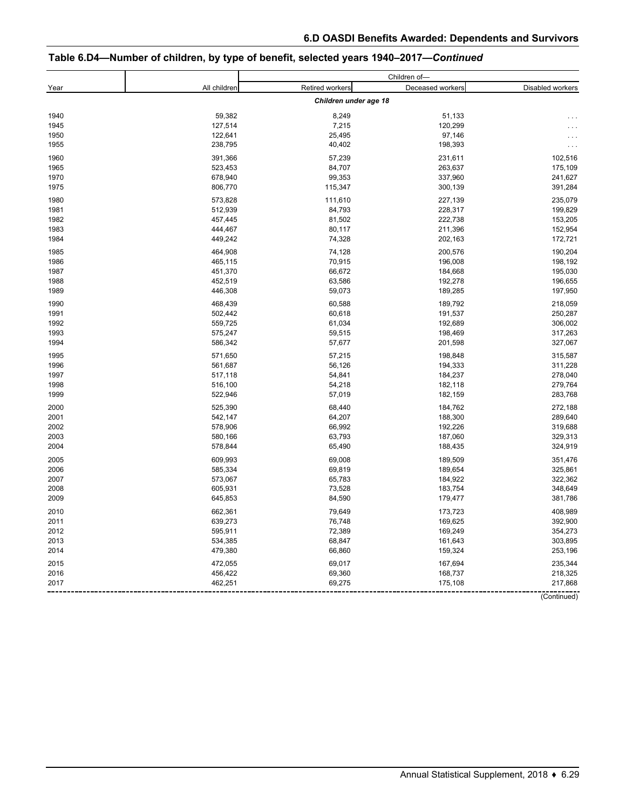## **Table 6.D4—Number of children, by type of benefit, selected years 1940–2017—***Continued*

|      |              |                       | Children of-     |                  |
|------|--------------|-----------------------|------------------|------------------|
| Year | All children | Retired workers       | Deceased workers | Disabled workers |
|      |              | Children under age 18 |                  |                  |
| 1940 | 59,382       | 8,249                 | 51,133           |                  |
| 1945 | 127,514      | 7,215                 | 120,299          |                  |
| 1950 | 122,641      | 25,495                | 97,146           | $\cdots$         |
| 1955 | 238,795      | 40,402                | 198,393          | $\ddotsc$        |
| 1960 | 391,366      | 57,239                | 231,611          | 102,516          |
|      |              |                       |                  |                  |
| 1965 | 523,453      | 84,707                | 263,637          | 175,109          |
| 1970 | 678,940      | 99,353                | 337,960          | 241,627          |
| 1975 | 806,770      | 115,347               | 300,139          | 391,284          |
| 1980 | 573,828      | 111,610               | 227,139          | 235,079          |
| 1981 | 512,939      | 84,793                | 228,317          | 199,829          |
| 1982 | 457,445      | 81,502                | 222,738          | 153,205          |
| 1983 | 444,467      | 80,117                | 211,396          | 152,954          |
| 1984 | 449,242      | 74,328                | 202,163          | 172,721          |
| 1985 | 464,908      | 74,128                | 200,576          | 190,204          |
| 1986 | 465,115      | 70,915                | 196,008          | 198,192          |
| 1987 | 451,370      | 66,672                | 184,668          | 195,030          |
| 1988 | 452,519      | 63,586                | 192,278          | 196,655          |
| 1989 | 446,308      | 59,073                | 189,285          | 197,950          |
| 1990 | 468,439      | 60,588                | 189,792          | 218,059          |
| 1991 | 502,442      | 60,618                | 191,537          | 250,287          |
| 1992 | 559,725      | 61,034                | 192,689          | 306,002          |
| 1993 | 575,247      | 59,515                | 198,469          | 317,263          |
| 1994 | 586,342      | 57,677                | 201,598          | 327,067          |
| 1995 | 571,650      | 57,215                | 198,848          | 315,587          |
| 1996 | 561,687      | 56,126                | 194,333          | 311,228          |
| 1997 | 517,118      | 54,841                | 184,237          | 278,040          |
| 1998 | 516,100      | 54,218                | 182,118          | 279,764          |
| 1999 | 522,946      | 57,019                | 182,159          | 283,768          |
| 2000 | 525,390      | 68,440                | 184,762          | 272,188          |
| 2001 | 542,147      | 64,207                | 188,300          | 289,640          |
| 2002 | 578,906      | 66,992                | 192,226          | 319,688          |
| 2003 | 580,166      | 63,793                | 187,060          | 329,313          |
| 2004 | 578,844      | 65,490                | 188,435          | 324,919          |
| 2005 | 609,993      | 69,008                | 189,509          | 351,476          |
| 2006 | 585,334      | 69,819                | 189,654          | 325,861          |
| 2007 | 573,067      | 65,783                | 184,922          | 322,362          |
| 2008 | 605,931      | 73,528                | 183,754          | 348,649          |
| 2009 | 645,853      | 84,590                | 179,477          | 381,786          |
|      |              |                       |                  |                  |
| 2010 | 662,361      | 79,649                | 173,723          | 408,989          |
| 2011 | 639,273      | 76,748                | 169,625          | 392,900          |
| 2012 | 595,911      | 72,389                | 169,249          | 354,273          |
| 2013 | 534,385      | 68,847                | 161,643          | 303,895          |
| 2014 | 479,380      | 66,860                | 159,324          | 253,196          |
| 2015 | 472,055      | 69,017                | 167,694          | 235,344          |
| 2016 | 456,422      | 69,360                | 168,737          | 218,325          |
| 2017 | 462,251      | 69,275                | 175,108          | 217,868          |
|      |              |                       |                  | (Continued)      |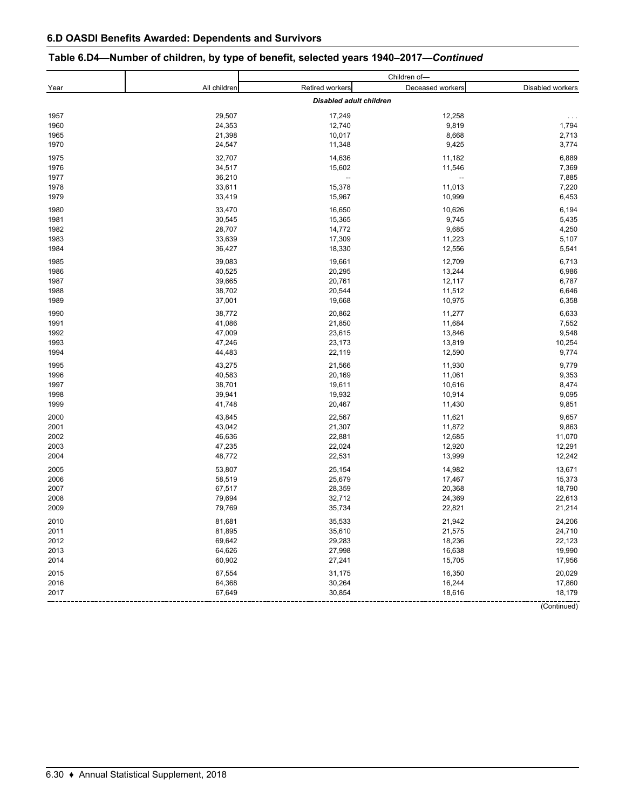## **Table 6.D4—Number of children, by type of benefit, selected years 1940–2017—***Continued*

|      |              |                                | Children of-      |                  |
|------|--------------|--------------------------------|-------------------|------------------|
| Year | All children | Retired workers                | Deceased workers  | Disabled workers |
|      |              | <b>Disabled adult children</b> |                   |                  |
| 1957 | 29,507       | 17,249                         | 12,258            | $\ldots$         |
| 1960 | 24,353       | 12,740                         | 9,819             | 1,794            |
| 1965 | 21,398       | 10,017                         | 8,668             | 2,713            |
| 1970 | 24,547       | 11,348                         | 9,425             | 3,774            |
| 1975 | 32,707       | 14,636                         | 11,182            | 6,889            |
| 1976 | 34,517       | 15,602                         | 11,546            | 7,369            |
|      |              |                                |                   |                  |
| 1977 | 36,210       | $\qquad \qquad -$              | $\qquad \qquad -$ | 7,885            |
| 1978 | 33,611       | 15,378                         | 11,013            | 7,220            |
| 1979 | 33,419       | 15,967                         | 10,999            | 6,453            |
| 1980 | 33,470       | 16,650                         | 10,626            | 6,194            |
| 1981 | 30,545       | 15,365                         | 9,745             | 5,435            |
| 1982 | 28,707       | 14,772                         | 9,685             | 4,250            |
| 1983 | 33,639       | 17,309                         | 11,223            | 5,107            |
| 1984 | 36,427       | 18,330                         | 12,556            | 5,541            |
| 1985 | 39,083       | 19,661                         | 12,709            | 6,713            |
| 1986 | 40,525       | 20,295                         | 13,244            | 6,986            |
| 1987 | 39,665       | 20,761                         | 12,117            | 6,787            |
| 1988 | 38,702       | 20,544                         | 11,512            | 6,646            |
| 1989 | 37,001       | 19,668                         | 10,975            | 6,358            |
| 1990 | 38,772       | 20,862                         | 11,277            | 6,633            |
|      |              |                                |                   |                  |
| 1991 | 41,086       | 21,850                         | 11,684            | 7,552            |
| 1992 | 47,009       | 23,615                         | 13,846            | 9,548            |
| 1993 | 47,246       | 23,173                         | 13,819            | 10,254           |
| 1994 | 44,483       | 22,119                         | 12,590            | 9,774            |
| 1995 | 43,275       | 21,566                         | 11,930            | 9,779            |
| 1996 | 40,583       | 20,169                         | 11,061            | 9,353            |
| 1997 | 38,701       | 19,611                         | 10,616            | 8,474            |
| 1998 | 39,941       | 19,932                         | 10,914            | 9,095            |
| 1999 | 41,748       | 20,467                         | 11,430            | 9,851            |
| 2000 | 43,845       | 22,567                         | 11,621            | 9,657            |
| 2001 | 43,042       | 21,307                         | 11,872            | 9,863            |
| 2002 | 46,636       | 22,881                         | 12,685            | 11,070           |
| 2003 | 47,235       | 22,024                         | 12,920            | 12,291           |
| 2004 | 48,772       | 22,531                         | 13,999            | 12,242           |
| 2005 | 53,807       | 25,154                         | 14,982            | 13,671           |
| 2006 | 58,519       | 25,679                         | 17,467            | 15,373           |
| 2007 | 67,517       | 28,359                         | 20,368            | 18,790           |
| 2008 | 79,694       | 32,712                         | 24,369            | 22,613           |
| 2009 | 79,769       | 35,734                         | 22,821            | 21,214           |
|      |              |                                |                   |                  |
| 2010 | 81,681       | 35,533                         | 21,942            | 24,206           |
| 2011 | 81,895       | 35,610                         | 21,575            | 24,710           |
| 2012 | 69,642       | 29,283                         | 18,236            | 22,123           |
| 2013 | 64,626       | 27,998                         | 16,638            | 19,990           |
| 2014 | 60,902       | 27,241                         | 15,705            | 17,956           |
| 2015 | 67,554       | 31,175                         | 16,350            | 20,029           |
| 2016 | 64,368       | 30,264                         | 16,244            | 17,860           |
| 2017 | 67,649       | 30,854                         | 18,616            | 18,179           |
|      |              |                                |                   | (Continued)      |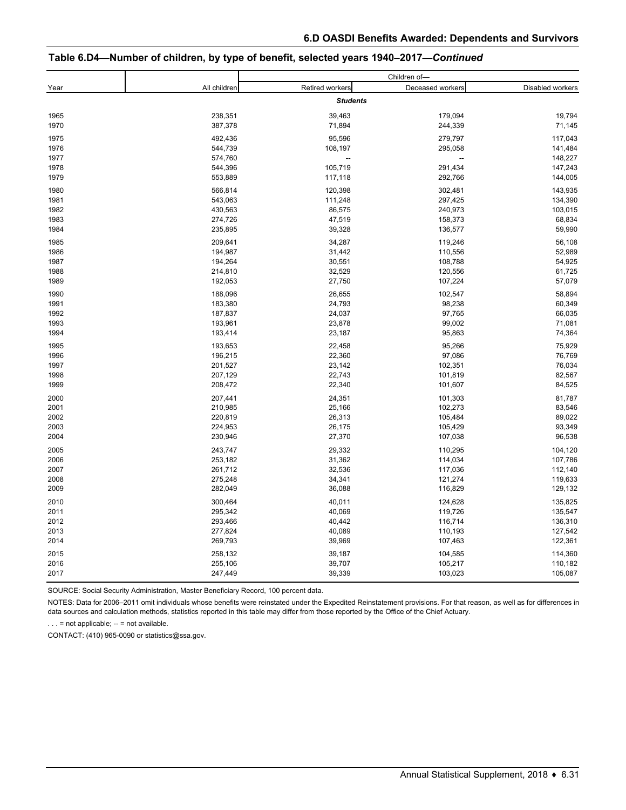#### **Table 6.D4—Number of children, by type of benefit, selected years 1940–2017—***Continued*

|      |              |                        | Children of-             |                  |
|------|--------------|------------------------|--------------------------|------------------|
| Year | All children | <b>Retired workers</b> | Deceased workers         | Disabled workers |
|      |              | <b>Students</b>        |                          |                  |
| 1965 | 238,351      | 39,463                 | 179,094                  | 19,794           |
| 1970 | 387,378      | 71,894                 | 244,339                  | 71,145           |
| 1975 | 492,436      | 95,596                 | 279,797                  | 117,043          |
| 1976 | 544,739      | 108,197                | 295,058                  | 141,484          |
| 1977 | 574,760      | $\qquad \qquad \cdots$ | $\overline{\phantom{a}}$ | 148,227          |
| 1978 | 544,396      | 105,719                | 291,434                  | 147,243          |
| 1979 | 553,889      | 117,118                | 292,766                  | 144,005          |
| 1980 | 566,814      | 120,398                | 302,481                  | 143,935          |
| 1981 | 543,063      | 111,248                | 297,425                  | 134,390          |
| 1982 | 430,563      | 86,575                 | 240,973                  | 103,015          |
| 1983 | 274,726      | 47,519                 | 158,373                  | 68,834           |
| 1984 | 235,895      | 39,328                 | 136,577                  | 59,990           |
| 1985 | 209,641      | 34,287                 | 119,246                  | 56,108           |
| 1986 | 194,987      | 31,442                 | 110,556                  | 52,989           |
| 1987 | 194,264      | 30,551                 | 108,788                  | 54,925           |
| 1988 | 214,810      | 32,529                 | 120,556                  | 61,725           |
| 1989 | 192,053      | 27,750                 | 107,224                  | 57,079           |
| 1990 | 188,096      | 26,655                 | 102,547                  | 58,894           |
| 1991 | 183,380      | 24,793                 | 98,238                   | 60,349           |
| 1992 | 187,837      | 24,037                 | 97,765                   | 66,035           |
| 1993 | 193,961      | 23,878                 | 99,002                   | 71,081           |
| 1994 | 193,414      | 23,187                 | 95,863                   | 74,364           |
| 1995 | 193,653      | 22,458                 | 95,266                   | 75,929           |
| 1996 | 196,215      | 22,360                 | 97,086                   | 76,769           |
| 1997 | 201,527      | 23,142                 | 102,351                  | 76,034           |
| 1998 | 207,129      | 22,743                 | 101,819                  | 82,567           |
| 1999 | 208,472      | 22,340                 | 101,607                  | 84,525           |
| 2000 | 207,441      | 24,351                 | 101,303                  | 81,787           |
| 2001 | 210,985      | 25,166                 | 102,273                  | 83,546           |
| 2002 | 220,819      | 26,313                 | 105,484                  | 89,022           |
| 2003 | 224,953      | 26,175                 | 105,429                  | 93,349           |
| 2004 | 230,946      | 27,370                 | 107,038                  | 96,538           |
| 2005 | 243,747      | 29,332                 | 110,295                  | 104,120          |
| 2006 | 253,182      | 31,362                 | 114,034                  | 107,786          |
| 2007 | 261,712      | 32,536                 | 117,036                  | 112,140          |
| 2008 | 275,248      | 34,341                 | 121,274                  | 119,633          |
| 2009 | 282,049      | 36,088                 | 116,829                  | 129,132          |
| 2010 | 300,464      | 40,011                 | 124,628                  | 135,825          |
| 2011 | 295,342      | 40,069                 | 119,726                  | 135,547          |
| 2012 | 293,466      | 40,442                 | 116,714                  | 136,310          |
| 2013 | 277,824      | 40,089                 | 110,193                  | 127,542          |
| 2014 | 269,793      | 39,969                 | 107,463                  | 122,361          |
| 2015 | 258,132      | 39,187                 | 104,585                  | 114,360          |
| 2016 | 255,106      | 39,707                 | 105,217                  | 110,182          |
| 2017 | 247,449      | 39,339                 | 103,023                  | 105,087          |
|      |              |                        |                          |                  |

SOURCE: Social Security Administration, Master Beneficiary Record, 100 percent data.

NOTES: Data for 2006–2011 omit individuals whose benefits were reinstated under the Expedited Reinstatement provisions. For that reason, as well as for differences in data sources and calculation methods, statistics reported in this table may differ from those reported by the Office of the Chief Actuary.

. . . = not applicable; -- = not available.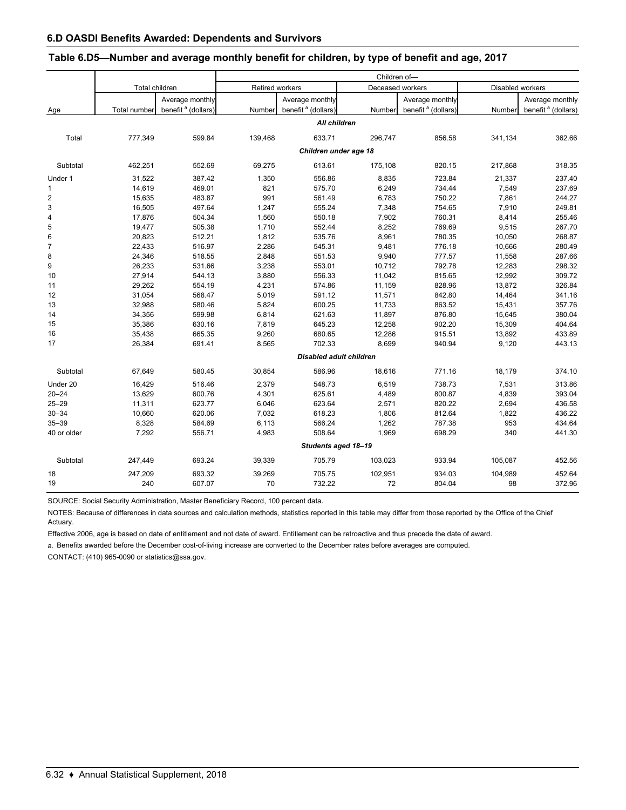|                |                |                                |                 |                                | Children of- |                                |                  |                                |
|----------------|----------------|--------------------------------|-----------------|--------------------------------|--------------|--------------------------------|------------------|--------------------------------|
|                | Total children |                                | Retired workers |                                |              | Deceased workers               | Disabled workers |                                |
|                |                | Average monthly                |                 | Average monthly                |              | Average monthly                |                  | Average monthly                |
| Age            | Total number   | benefit <sup>a</sup> (dollars) | Number          | benefit <sup>a</sup> (dollars) | Number       | benefit <sup>a</sup> (dollars) | Number           | benefit <sup>a</sup> (dollars) |
|                |                |                                |                 | All children                   |              |                                |                  |                                |
| Total          | 777,349        | 599.84                         | 139,468         | 633.71                         | 296,747      | 856.58                         | 341,134          | 362.66                         |
|                |                |                                |                 | Children under age 18          |              |                                |                  |                                |
| Subtotal       | 462,251        | 552.69                         | 69,275          | 613.61                         | 175,108      | 820.15                         | 217,868          | 318.35                         |
| Under 1        | 31,522         | 387.42                         | 1,350           | 556.86                         | 8,835        | 723.84                         | 21,337           | 237.40                         |
| $\mathbf{1}$   | 14,619         | 469.01                         | 821             | 575.70                         | 6,249        | 734.44                         | 7,549            | 237.69                         |
| $\sqrt{2}$     | 15,635         | 483.87                         | 991             | 561.49                         | 6,783        | 750.22                         | 7,861            | 244.27                         |
| 3              | 16,505         | 497.64                         | 1,247           | 555.24                         | 7,348        | 754.65                         | 7,910            | 249.81                         |
| 4              | 17,876         | 504.34                         | 1,560           | 550.18                         | 7,902        | 760.31                         | 8,414            | 255.46                         |
| 5              | 19,477         | 505.38                         | 1,710           | 552.44                         | 8,252        | 769.69                         | 9,515            | 267.70                         |
| 6              | 20,823         | 512.21                         | 1,812           | 535.76                         | 8,961        | 780.35                         | 10,050           | 268.87                         |
| $\overline{7}$ | 22,433         | 516.97                         | 2,286           | 545.31                         | 9,481        | 776.18                         | 10,666           | 280.49                         |
| 8              | 24,346         | 518.55                         | 2,848           | 551.53                         | 9,940        | 777.57                         | 11,558           | 287.66                         |
| 9              | 26,233         | 531.66                         | 3,238           | 553.01                         | 10,712       | 792.78                         | 12,283           | 298.32                         |
| 10             | 27,914         | 544.13                         | 3,880           | 556.33                         | 11,042       | 815.65                         | 12,992           | 309.72                         |
| 11             | 29,262         | 554.19                         | 4,231           | 574.86                         | 11,159       | 828.96                         | 13,872           | 326.84                         |
| 12             | 31,054         | 568.47                         | 5,019           | 591.12                         | 11,571       | 842.80                         | 14,464           | 341.16                         |
| 13             | 32,988         | 580.46                         | 5,824           | 600.25                         | 11,733       | 863.52                         | 15,431           | 357.76                         |
| 14             | 34,356         | 599.98                         | 6,814           | 621.63                         | 11,897       | 876.80                         | 15,645           | 380.04                         |
| 15             | 35,386         | 630.16                         | 7,819           | 645.23                         | 12,258       | 902.20                         | 15,309           | 404.64                         |
| 16             | 35,438         | 665.35                         | 9,260           | 680.65                         | 12,286       | 915.51                         | 13,892           | 433.89                         |
| 17             | 26,384         | 691.41                         | 8,565           | 702.33                         | 8,699        | 940.94                         | 9,120            | 443.13                         |
|                |                |                                |                 | <b>Disabled adult children</b> |              |                                |                  |                                |
| Subtotal       | 67,649         | 580.45                         | 30,854          | 586.96                         | 18,616       | 771.16                         | 18,179           | 374.10                         |
| Under 20       | 16,429         | 516.46                         | 2,379           | 548.73                         | 6,519        | 738.73                         | 7,531            | 313.86                         |
| $20 - 24$      | 13,629         | 600.76                         | 4,301           | 625.61                         | 4,489        | 800.87                         | 4,839            | 393.04                         |
| $25 - 29$      | 11,311         | 623.77                         | 6,046           | 623.64                         | 2,571        | 820.22                         | 2,694            | 436.58                         |
| $30 - 34$      | 10,660         | 620.06                         | 7,032           | 618.23                         | 1,806        | 812.64                         | 1,822            | 436.22                         |
| $35 - 39$      | 8,328          | 584.69                         | 6,113           | 566.24                         | 1,262        | 787.38                         | 953              | 434.64                         |
| 40 or older    | 7,292          | 556.71                         | 4,983           | 508.64                         | 1,969        | 698.29                         | 340              | 441.30                         |
|                |                |                                |                 | Students aged 18-19            |              |                                |                  |                                |
| Subtotal       | 247,449        | 693.24                         | 39,339          | 705.79                         | 103,023      | 933.94                         | 105,087          | 452.56                         |
| 18             | 247,209        | 693.32                         | 39,269          | 705.75                         | 102,951      | 934.03                         | 104,989          | 452.64                         |
| 19             | 240            | 607.07                         | 70              | 732.22                         | 72           | 804.04                         | 98               | 372.96                         |

#### **Table 6.D5—Number and average monthly benefit for children, by type of benefit and age, 2017**

SOURCE: Social Security Administration, Master Beneficiary Record, 100 percent data.

NOTES: Because of differences in data sources and calculation methods, statistics reported in this table may differ from those reported by the Office of the Chief Actuary.

Effective 2006, age is based on date of entitlement and not date of award. Entitlement can be retroactive and thus precede the date of award.

a. Benefits awarded before the December cost-of-living increase are converted to the December rates before averages are computed.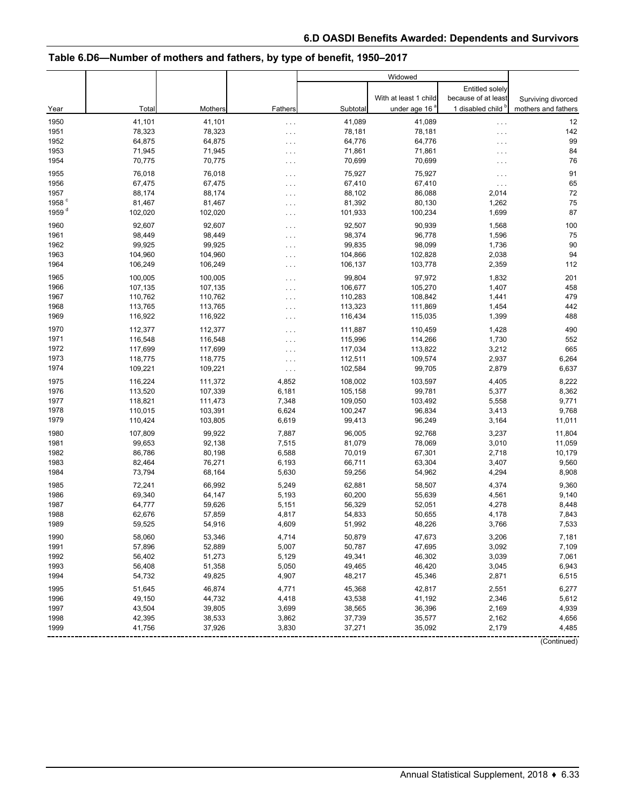## **Table 6.D6—Number of mothers and fathers, by type of benefit, 1950–2017**

|                   |                  |                  |                |                  | Widowed               |                      |                        |
|-------------------|------------------|------------------|----------------|------------------|-----------------------|----------------------|------------------------|
|                   |                  |                  |                |                  |                       | Entitled solely      |                        |
|                   |                  |                  |                |                  | With at least 1 child | because of at least  | Surviving divorced     |
| Year              | Total            | Mothers          | Fathers        | Subtotal         | under age 16          | 1 disabled child     | mothers and fathers    |
| 1950              | 41,101           | 41,101           | $\cdots$       | 41,089           | 41,089                | .                    | 12                     |
| 1951              | 78,323           | 78,323           | $\cdots$       | 78,181           | 78,181                | $\cdots$             | 142                    |
| 1952              | 64,875           | 64,875           | .              | 64,776           | 64,776                | .                    | 99                     |
| 1953              | 71,945           | 71,945           | $\cdots$       | 71,861           | 71,861                | .                    | 84                     |
| 1954              | 70,775           | 70,775           | $\cdots$       | 70,699           | 70,699                | $\cdots$             | 76                     |
| 1955              | 76,018           | 76,018           | $\cdots$       | 75,927           | 75,927                | $\cdots$             | 91                     |
| 1956              | 67,475           | 67,475           | $\cdots$       | 67,410           | 67,410                | $\sim$ $\sim$ $\sim$ | 65                     |
| 1957              | 88,174           | 88,174           | $\cdots$       | 88,102           | 86,088                | 2,014                | 72                     |
| 1958 <sup>c</sup> | 81,467           | 81,467           | $\cdots$       | 81,392           | 80,130                | 1,262                | 75                     |
| 1959 <sup>d</sup> | 102,020          | 102,020          | .              | 101,933          | 100,234               | 1,699                | 87                     |
| 1960              | 92,607           | 92,607           | $\cdots$       | 92,507           | 90,939                | 1,568                | 100                    |
| 1961              | 98,449           | 98,449           | $\cdots$       | 98,374           | 96,778                | 1,596                | 75                     |
| 1962              | 99,925           | 99,925           | $\cdots$       | 99,835           | 98,099                | 1,736                | 90                     |
| 1963              | 104,960          | 104,960          | $\cdots$       | 104,866          | 102,828               | 2,038                | 94                     |
| 1964              | 106,249          | 106,249          | $\cdots$       | 106,137          | 103,778               | 2,359                | 112                    |
| 1965              | 100,005          | 100,005          | $\cdots$       | 99,804           | 97,972                | 1,832                | 201                    |
| 1966              | 107,135          | 107,135          | .              | 106,677          | 105,270               | 1,407                | 458                    |
| 1967              | 110,762          | 110,762          | $\cdots$       | 110,283          | 108,842               | 1,441                | 479                    |
| 1968              | 113,765          | 113,765          | $\cdots$       | 113,323          | 111,869               | 1,454                | 442                    |
| 1969              | 116,922          | 116,922          | .              | 116,434          | 115,035               | 1,399                | 488                    |
| 1970              | 112,377          | 112,377          | $\cdots$       | 111,887          | 110,459               | 1,428                | 490                    |
| 1971              | 116,548          | 116,548          | $\cdots$       | 115,996          | 114,266               | 1,730                | 552                    |
| 1972              | 117,699          | 117,699          | $\cdots$       | 117,034          | 113,822               | 3,212                | 665                    |
| 1973              | 118,775          | 118,775          | $\cdots$       | 112,511          | 109,574               | 2,937                | 6,264                  |
| 1974              | 109,221          | 109,221          | $\ldots$       | 102,584          | 99,705                | 2,879                | 6,637                  |
| 1975              | 116,224          | 111,372          | 4,852          | 108,002          | 103,597               | 4,405                | 8,222                  |
| 1976              | 113,520          | 107,339          | 6,181          | 105,158          | 99,781                | 5,377                | 8,362                  |
| 1977              | 118,821          | 111,473          | 7,348          | 109,050          | 103,492               | 5,558                | 9,771                  |
| 1978              | 110,015          | 103,391          | 6,624          | 100,247          | 96,834                | 3,413                | 9,768                  |
| 1979              | 110,424          | 103,805          | 6,619          | 99,413           | 96,249                | 3,164                | 11,011                 |
| 1980              | 107,809          | 99,922           | 7,887          | 96,005           | 92,768                | 3,237                | 11,804                 |
| 1981              | 99,653           | 92,138           | 7,515          | 81,079           | 78,069                | 3,010                | 11,059                 |
| 1982              | 86,786           | 80,198           | 6,588          | 70,019           | 67,301                | 2,718                | 10,179                 |
| 1983              | 82,464           | 76,271           | 6,193          | 66,711           | 63,304                | 3,407                | 9,560                  |
| 1984              | 73,794           | 68,164           | 5,630          | 59,256           | 54,962                | 4,294                | 8,908                  |
| 1985              | 72,241           | 66,992           | 5,249          | 62,881           | 58,507                | 4,374                | 9,360                  |
| 1986              | 69,340           | 64,147           | 5,193          | 60,200           | 55,639                | 4,561                | 9,140                  |
| 1987              | 64,777           | 59,626           | 5,151          | 56,329           | 52,051                | 4,278                | 8,448                  |
| 1988              | 62,676           | 57,859           | 4,817          | 54,833           | 50,655                | 4,178                | 7,843                  |
| 1989              | 59,525           | 54,916           | 4,609          | 51,992           | 48,226                | 3,766                | 7,533                  |
| 1990              | 58,060           | 53,346           | 4,714          | 50,879           | 47,673                | 3,206                | 7,181                  |
| 1991              | 57,896           | 52,889           | 5,007          | 50,787           | 47,695                | 3,092                | 7,109                  |
| 1992              | 56,402           | 51,273           | 5,129          | 49,341           | 46,302                | 3,039                | 7,061                  |
| 1993              | 56,408           | 51,358           | 5,050          | 49,465           | 46,420                | 3,045                | 6,943                  |
| 1994              | 54,732           | 49,825           | 4,907          | 48,217           | 45,346                | 2,871                | 6,515                  |
| 1995              | 51,645           | 46,874           | 4,771          | 45,368           | 42,817                | 2,551                | 6,277                  |
| 1996              | 49,150           | 44,732           | 4,418          | 43,538           | 41,192                | 2,346                | 5,612                  |
| 1997              | 43,504           | 39,805           | 3,699          | 38,565           | 36,396                | 2,169                | 4,939                  |
| 1998<br>1999      | 42,395<br>41,756 | 38,533<br>37,926 | 3,862<br>3,830 | 37,739<br>37,271 | 35,577<br>35,092      | 2,162<br>2,179       | 4,656<br>4,485         |
|                   |                  |                  |                |                  |                       |                      | $(n_{\text{initial}})$ |

(Continued)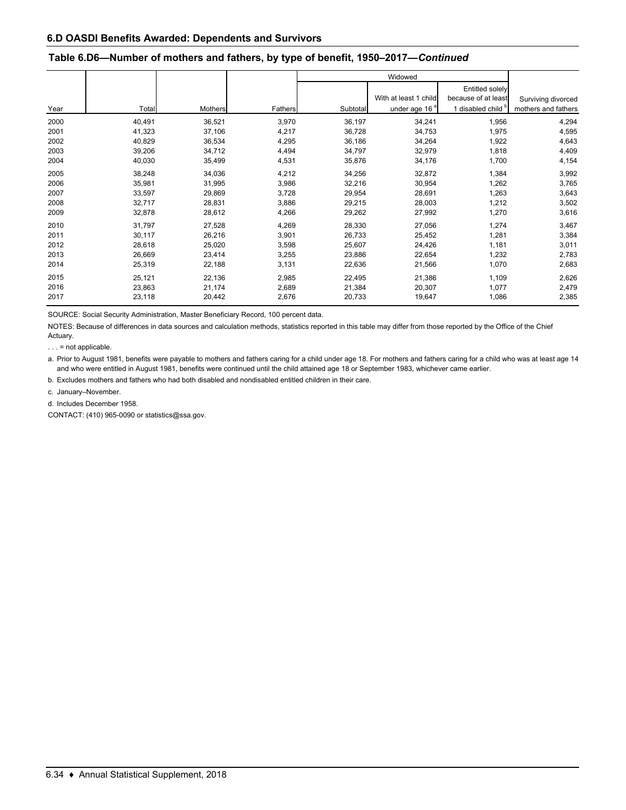#### **Table 6.D6—Number of mothers and fathers, by type of benefit, 1950–2017—***Continued*

|      |        |                |         |          | Widowed                                            |                                                                 |                                           |
|------|--------|----------------|---------|----------|----------------------------------------------------|-----------------------------------------------------------------|-------------------------------------------|
| Year | Total  | <b>Mothers</b> | Fathers | Subtotal | With at least 1 child<br>under age 16 <sup>ª</sup> | <b>Entitled solely</b><br>because of at least<br>disabled child | Surviving divorced<br>mothers and fathers |
| 2000 | 40,491 | 36,521         | 3,970   | 36,197   | 34,241                                             | 1,956                                                           | 4,294                                     |
| 2001 | 41,323 | 37,106         | 4,217   | 36,728   | 34,753                                             | 1,975                                                           | 4,595                                     |
| 2002 | 40,829 | 36,534         | 4,295   | 36,186   | 34,264                                             | 1,922                                                           | 4,643                                     |
| 2003 | 39,206 | 34,712         | 4,494   | 34,797   | 32,979                                             | 1,818                                                           | 4,409                                     |
| 2004 | 40,030 | 35,499         | 4,531   | 35,876   | 34,176                                             | 1,700                                                           | 4,154                                     |
| 2005 | 38,248 | 34,036         | 4,212   | 34,256   | 32,872                                             | 1,384                                                           | 3,992                                     |
| 2006 | 35,981 | 31,995         | 3,986   | 32,216   | 30,954                                             | 1,262                                                           | 3,765                                     |
| 2007 | 33,597 | 29,869         | 3,728   | 29,954   | 28,691                                             | 1,263                                                           | 3,643                                     |
| 2008 | 32,717 | 28,831         | 3,886   | 29,215   | 28,003                                             | 1,212                                                           | 3,502                                     |
| 2009 | 32,878 | 28,612         | 4,266   | 29,262   | 27,992                                             | 1,270                                                           | 3,616                                     |
| 2010 | 31,797 | 27,528         | 4,269   | 28,330   | 27,056                                             | 1,274                                                           | 3,467                                     |
| 2011 | 30,117 | 26,216         | 3,901   | 26,733   | 25,452                                             | 1,281                                                           | 3,384                                     |
| 2012 | 28,618 | 25,020         | 3,598   | 25,607   | 24,426                                             | 1,181                                                           | 3,011                                     |
| 2013 | 26,669 | 23,414         | 3,255   | 23,886   | 22,654                                             | 1,232                                                           | 2,783                                     |
| 2014 | 25,319 | 22,188         | 3,131   | 22,636   | 21,566                                             | 1,070                                                           | 2,683                                     |
| 2015 | 25,121 | 22,136         | 2,985   | 22,495   | 21,386                                             | 1,109                                                           | 2,626                                     |
| 2016 | 23,863 | 21,174         | 2,689   | 21,384   | 20,307                                             | 1,077                                                           | 2,479                                     |
| 2017 | 23,118 | 20,442         | 2,676   | 20,733   | 19,647                                             | 1,086                                                           | 2,385                                     |

SOURCE: Social Security Administration, Master Beneficiary Record, 100 percent data.

NOTES: Because of differences in data sources and calculation methods, statistics reported in this table may differ from those reported by the Office of the Chief Actuary.

. . . = not applicable.

a. Prior to August 1981, benefits were payable to mothers and fathers caring for a child under age 18. For mothers and fathers caring for a child who was at least age 14 and who were entitled in August 1981, benefits were continued until the child attained age 18 or September 1983, whichever came earlier.

b. Excludes mothers and fathers who had both disabled and nondisabled entitled children in their care.

c. January–November.

d. Includes December 1958.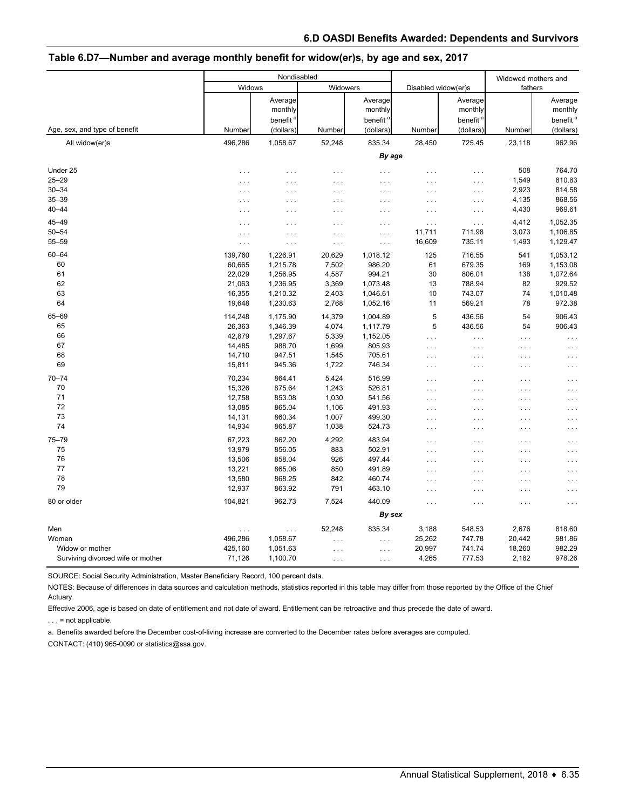|                                                      |                                                 | Nondisabled                                              |                                            |                                                      |                                                          |                                                         | Widowed mothers and            |                                                         |
|------------------------------------------------------|-------------------------------------------------|----------------------------------------------------------|--------------------------------------------|------------------------------------------------------|----------------------------------------------------------|---------------------------------------------------------|--------------------------------|---------------------------------------------------------|
|                                                      | Widows                                          |                                                          | Widowers                                   |                                                      | Disabled widow(er)s                                      |                                                         | fathers                        |                                                         |
| Age, sex, and type of benefit                        | Number                                          | Average<br>monthly<br>benefit <sup>'</sup><br>(dollars)  | Number                                     | Average<br>monthly<br>benefit<br>(dollars)           | Number                                                   | Average<br>monthly<br>benefit <sup>'</sup><br>(dollars) | Number                         | Average<br>monthly<br>benefit <sup>a</sup><br>(dollars) |
| All widow(er)s                                       | 496,286                                         | 1,058.67                                                 | 52,248                                     | 835.34                                               | 28,450                                                   | 725.45                                                  | 23,118                         | 962.96                                                  |
|                                                      |                                                 |                                                          |                                            | By age                                               |                                                          |                                                         |                                |                                                         |
| Under 25<br>$25 - 29$<br>$30 - 34$<br>$35 - 39$      | $\cdots$<br>$\sim$ .<br>$\cdots$<br>$\cdots$    | $\cdots$<br>$\cdots$<br>$\cdots$<br>$\cdots$             | $\ldots$<br>.<br>.<br>.                    | $\ldots$<br>$\cdots$<br>$\cdots$<br>$\cdots$         | $\cdots$<br>$\cdots$<br>$\cdots$<br>$\cdots$             | .<br>.<br>$\cdots$<br>$\cdots$                          | 508<br>1,549<br>2,923<br>4,135 | 764.70<br>810.83<br>814.58<br>868.56                    |
| $40 - 44$                                            | $\cdots$                                        | $\cdots$                                                 | .                                          | $\cdots$                                             | $\cdots$                                                 | $\ldots$                                                | 4,430                          | 969.61                                                  |
| 45-49<br>$50 - 54$<br>$55 - 59$                      | $\cdots$<br>$\cdots$<br>$\cdots$                | $\cdots$<br>$\cdots$<br>$\cdots$                         | .<br>.<br>$\cdots$                         | $\cdots$<br>.<br>$\ldots$                            | $\cdots$<br>11,711<br>16,609                             | $\ldots$<br>711.98<br>735.11                            | 4,412<br>3,073<br>1,493        | 1,052.35<br>1,106.85<br>1,129.47                        |
| $60 - 64$<br>60<br>61<br>62<br>63                    | 139,760<br>60,665<br>22,029<br>21,063<br>16,355 | 1,226.91<br>1,215.78<br>1,256.95<br>1,236.95<br>1,210.32 | 20,629<br>7,502<br>4,587<br>3,369<br>2,403 | 1,018.12<br>986.20<br>994.21<br>1,073.48<br>1,046.61 | 125<br>61<br>30<br>13<br>10                              | 716.55<br>679.35<br>806.01<br>788.94<br>743.07          | 541<br>169<br>138<br>82<br>74  | 1,053.12<br>1,153.08<br>1,072.64<br>929.52<br>1,010.48  |
| 64                                                   | 19,648                                          | 1,230.63                                                 | 2,768                                      | 1,052.16                                             | 11                                                       | 569.21                                                  | 78                             | 972.38                                                  |
| 65-69<br>65<br>66<br>67<br>68                        | 114,248<br>26,363<br>42,879<br>14,485<br>14,710 | 1,175.90<br>1,346.39<br>1,297.67<br>988.70<br>947.51     | 14,379<br>4,074<br>5,339<br>1,699<br>1,545 | 1,004.89<br>1,117.79<br>1,152.05<br>805.93<br>705.61 | 5<br>5<br>$\cdots$<br>$\cdots$<br>$\cdots$               | 436.56<br>436.56<br>.<br>$\ldots$<br>.                  | 54<br>54<br>.<br>.<br>.        | 906.43<br>906.43<br>$\cdots$<br>$\cdots$<br>$\sim$ .    |
| 69                                                   | 15,811                                          | 945.36                                                   | 1,722                                      | 746.34                                               | $\cdots$                                                 | $\cdots$                                                | .                              | $\cdots$                                                |
| $70 - 74$<br>70<br>71<br>72                          | 70,234<br>15,326<br>12,758<br>13,085            | 864.41<br>875.64<br>853.08<br>865.04                     | 5,424<br>1,243<br>1,030<br>1,106           | 516.99<br>526.81<br>541.56<br>491.93                 | $\sim$ $\sim$ $\sim$<br>$\cdots$<br>$\cdots$<br>$\cdots$ | $\cdots$<br>.<br>$\cdots$<br>.                          | .<br>.<br>.<br>.               | $\sim$ $\sim$<br>$\cdots$<br>$\cdots$<br>$\cdots$       |
| 73                                                   | 14,131                                          | 860.34                                                   | 1,007                                      | 499.30                                               | $\cdots$                                                 | .                                                       | .                              | $\cdots$                                                |
| 74<br>$75 - 79$<br>75                                | 14,934<br>67,223<br>13,979                      | 865.87<br>862.20<br>856.05                               | 1,038<br>4,292<br>883                      | 524.73<br>483.94<br>502.91                           | $\cdots$<br>$\cdots$<br>$\cdots$                         | .<br>.<br>.                                             | .<br>.<br>$\cdots$             | $\cdots$<br>$\cdots$<br>$\cdots$                        |
| 76                                                   | 13,506                                          | 858.04                                                   | 926                                        | 497.44                                               | $\cdots$                                                 | .                                                       | $\cdots$                       | $\cdots$                                                |
| 77<br>78<br>79                                       | 13,221<br>13,580<br>12,937                      | 865.06<br>868.25<br>863.92                               | 850<br>842<br>791                          | 491.89<br>460.74<br>463.10                           | $\cdots$<br>$\cdots$<br>$\cdots$                         | .<br>.<br>.                                             | .<br>$\cdots$<br>.             | $\sim$ .<br>$\cdots$                                    |
| 80 or older                                          | 104,821                                         | 962.73                                                   | 7,524                                      | 440.09                                               |                                                          |                                                         |                                |                                                         |
|                                                      |                                                 |                                                          |                                            | By sex                                               | $\cdots$                                                 | .                                                       | .                              | $\cdots$                                                |
| Men<br>Women                                         | $\cdots$<br>496,286                             | $\sim$ $\sim$ $\sim$<br>1,058.67                         | 52,248<br>.                                | 835.34<br>$\cdots$                                   | 3,188<br>25,262                                          | 548.53<br>747.78                                        | 2,676<br>20,442                | 818.60<br>981.86                                        |
| Widow or mother<br>Surviving divorced wife or mother | 425,160<br>71,126                               | 1,051.63<br>1,100.70                                     | .<br>$\ldots$                              | $\cdots$<br>$\cdots$                                 | 20,997<br>4,265                                          | 741.74<br>777.53                                        | 18,260<br>2,182                | 982.29<br>978.26                                        |

#### **Table 6.D7—Number and average monthly benefit for widow(er)s, by age and sex, 2017**

SOURCE: Social Security Administration, Master Beneficiary Record, 100 percent data.

NOTES: Because of differences in data sources and calculation methods, statistics reported in this table may differ from those reported by the Office of the Chief Actuary.

Effective 2006, age is based on date of entitlement and not date of award. Entitlement can be retroactive and thus precede the date of award.

. . . = not applicable.

a. Benefits awarded before the December cost-of-living increase are converted to the December rates before averages are computed.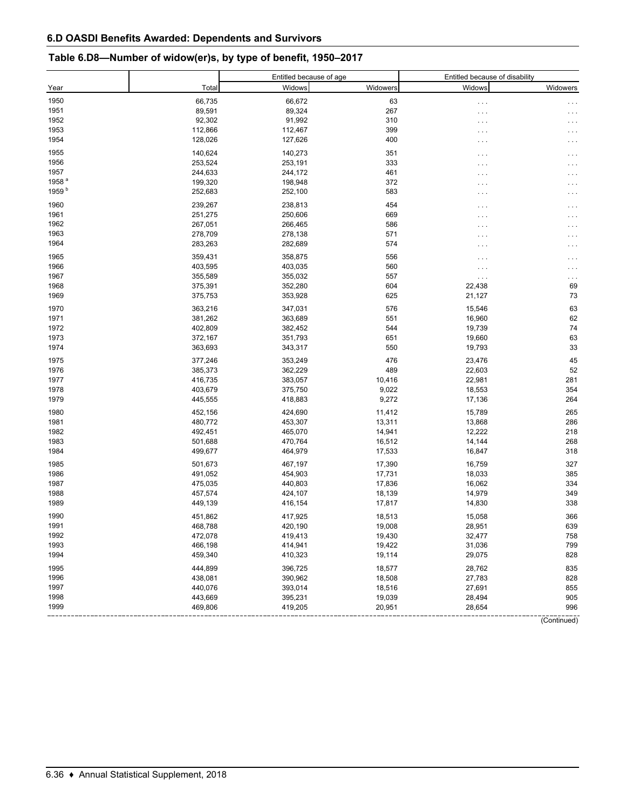## **Table 6.D8—Number of widow(er)s, by type of benefit, 1950–2017**

|                   |                    | Entitled because of age |                 | Entitled because of disability |                     |
|-------------------|--------------------|-------------------------|-----------------|--------------------------------|---------------------|
| Year              | Total              | Widows                  | Widowers        | Widows                         | Widowers            |
| 1950              | 66,735             | 66,672                  | 63              | $\cdots$                       |                     |
| 1951              | 89,591             | 89,324                  | 267             | $\cdots$                       |                     |
| 1952              | 92,302             | 91,992                  | 310             | $\cdots$                       |                     |
| 1953              | 112,866            | 112,467                 | 399             | .                              |                     |
| 1954              | 128,026            | 127,626                 | 400             | $\cdots$                       | .                   |
| 1955              | 140,624            | 140,273                 | 351             | $\cdots$                       | $\cdots$            |
| 1956              | 253,524            | 253,191                 | 333             | $\cdots$                       |                     |
| 1957              | 244,633            | 244,172                 | 461             | $\cdots$                       |                     |
| 1958 <sup>a</sup> | 199,320            | 198,948                 | 372             | .                              |                     |
| 1959 <sup>b</sup> | 252,683            | 252,100                 | 583             | $\cdots$                       | .                   |
| 1960              | 239,267            | 238,813                 | 454             | $\cdots$                       | $\cdots$            |
| 1961              | 251,275            | 250,606                 | 669             | $\cdots$                       |                     |
| 1962              | 267,051            | 266,465                 | 586             | .                              |                     |
| 1963              | 278,709            | 278,138                 | 571             | $\cdots$                       |                     |
| 1964              | 283,263            | 282,689                 | 574             | $\cdots$                       |                     |
| 1965              | 359,431            | 358,875                 | 556             |                                |                     |
| 1966              | 403,595            | 403,035                 | 560             | $\cdots$                       | .                   |
| 1967              | 355,589            | 355,032                 | 557             | $\cdots$                       |                     |
| 1968              | 375,391            | 352,280                 | 604             | $\cdots$<br>22,438             | $\sim$ $\sim$<br>69 |
| 1969              | 375,753            | 353,928                 | 625             | 21,127                         | 73                  |
|                   |                    |                         |                 |                                |                     |
| 1970              | 363,216<br>381,262 | 347,031<br>363,689      | 576<br>551      | 15,546<br>16,960               | 63<br>62            |
| 1971<br>1972      | 402,809            | 382,452                 | 544             | 19,739                         | 74                  |
| 1973              | 372,167            | 351,793                 | 651             | 19,660                         | 63                  |
| 1974              | 363,693            | 343,317                 | 550             | 19,793                         | 33                  |
|                   |                    |                         |                 |                                |                     |
| 1975              | 377,246            | 353,249                 | 476             | 23,476                         | 45                  |
| 1976              | 385,373            | 362,229                 | 489             | 22,603                         | 52                  |
| 1977<br>1978      | 416,735<br>403,679 | 383,057<br>375,750      | 10,416<br>9,022 | 22,981<br>18,553               | 281<br>354          |
| 1979              | 445,555            | 418,883                 | 9,272           | 17,136                         | 264                 |
|                   |                    |                         |                 |                                |                     |
| 1980              | 452,156            | 424,690                 | 11,412          | 15,789                         | 265                 |
| 1981              | 480,772            | 453,307                 | 13,311          | 13,868                         | 286                 |
| 1982              | 492,451            | 465,070                 | 14,941          | 12,222                         | 218                 |
| 1983<br>1984      | 501,688            | 470,764                 | 16,512          | 14,144                         | 268                 |
|                   | 499,677            | 464,979                 | 17,533          | 16,847                         | 318                 |
| 1985              | 501,673            | 467,197                 | 17,390          | 16,759                         | 327                 |
| 1986              | 491,052            | 454,903                 | 17,731          | 18,033                         | 385                 |
| 1987              | 475,035            | 440,803                 | 17,836          | 16,062                         | 334                 |
| 1988              | 457,574            | 424,107                 | 18,139          | 14,979                         | 349                 |
| 1989              | 449,139            | 416,154                 | 17,817          | 14,830                         | 338                 |
| 1990              | 451,862            | 417,925                 | 18,513          | 15,058                         | 366                 |
| 1991              | 468,788            | 420,190                 | 19,008          | 28,951                         | 639                 |
| 1992              | 472,078            | 419,413                 | 19,430          | 32,477                         | 758                 |
| 1993              | 466,198            | 414,941                 | 19,422          | 31,036                         | 799                 |
| 1994              | 459,340            | 410,323                 | 19,114          | 29,075                         | 828                 |
| 1995              | 444,899            | 396,725                 | 18,577          | 28,762                         | 835                 |
| 1996              | 438,081            | 390,962                 | 18,508          | 27,783                         | 828                 |
| 1997              | 440,076            | 393,014                 | 18,516          | 27,691                         | 855                 |
| 1998              | 443,669            | 395,231                 | 19,039          | 28,494                         | 905                 |
| 1999              | 469,806            | 419,205                 | 20,951          | 28,654                         | 996                 |
|                   |                    |                         |                 |                                | (Continued)         |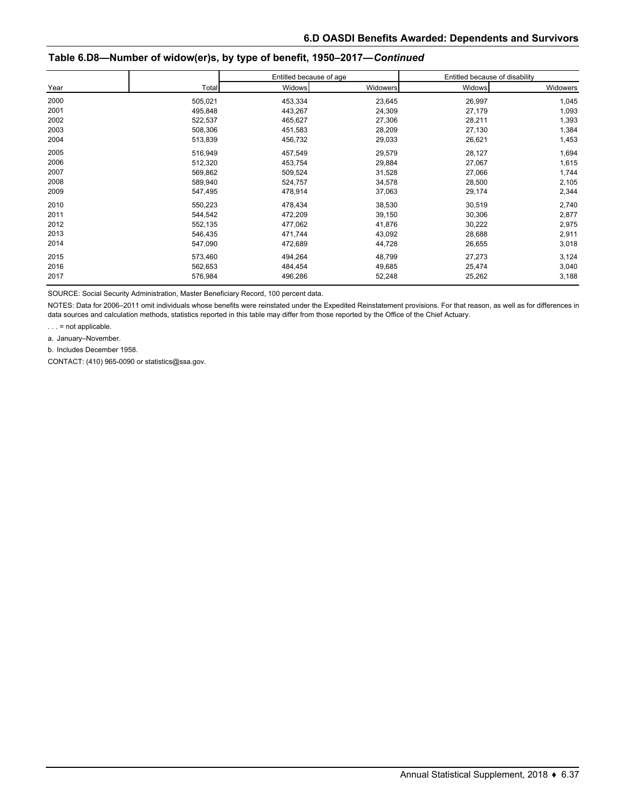### **Table 6.D8—Number of widow(er)s, by type of benefit, 1950–2017—***Continued*

|      |         | Entitled because of age |          | Entitled because of disability |          |
|------|---------|-------------------------|----------|--------------------------------|----------|
| Year | Total   | <b>Widows</b>           | Widowers | Widows                         | Widowers |
| 2000 | 505,021 | 453,334                 | 23,645   | 26,997                         | 1,045    |
| 2001 | 495,848 | 443,267                 | 24,309   | 27,179                         | 1,093    |
| 2002 | 522,537 | 465,627                 | 27,306   | 28,211                         | 1,393    |
| 2003 | 508,306 | 451,583                 | 28,209   | 27,130                         | 1,384    |
| 2004 | 513,839 | 456,732                 | 29,033   | 26,621                         | 1,453    |
| 2005 | 516,949 | 457,549                 | 29,579   | 28,127                         | 1,694    |
| 2006 | 512,320 | 453,754                 | 29,884   | 27,067                         | 1,615    |
| 2007 | 569,862 | 509,524                 | 31,528   | 27,066                         | 1,744    |
| 2008 | 589,940 | 524,757                 | 34,578   | 28,500                         | 2,105    |
| 2009 | 547,495 | 478,914                 | 37,063   | 29,174                         | 2,344    |
| 2010 | 550,223 | 478,434                 | 38,530   | 30,519                         | 2,740    |
| 2011 | 544,542 | 472,209                 | 39,150   | 30,306                         | 2,877    |
| 2012 | 552,135 | 477,062                 | 41,876   | 30,222                         | 2,975    |
| 2013 | 546,435 | 471,744                 | 43,092   | 28,688                         | 2,911    |
| 2014 | 547,090 | 472,689                 | 44,728   | 26,655                         | 3,018    |
| 2015 | 573,460 | 494,264                 | 48,799   | 27,273                         | 3,124    |
| 2016 | 562,653 | 484,454                 | 49,685   | 25,474                         | 3,040    |
| 2017 | 576,984 | 496,286                 | 52,248   | 25,262                         | 3,188    |

SOURCE: Social Security Administration, Master Beneficiary Record, 100 percent data.

NOTES: Data for 2006–2011 omit individuals whose benefits were reinstated under the Expedited Reinstatement provisions. For that reason, as well as for differences in data sources and calculation methods, statistics reported in this table may differ from those reported by the Office of the Chief Actuary.

. . . = not applicable.

a. January–November.

b. Includes December 1958.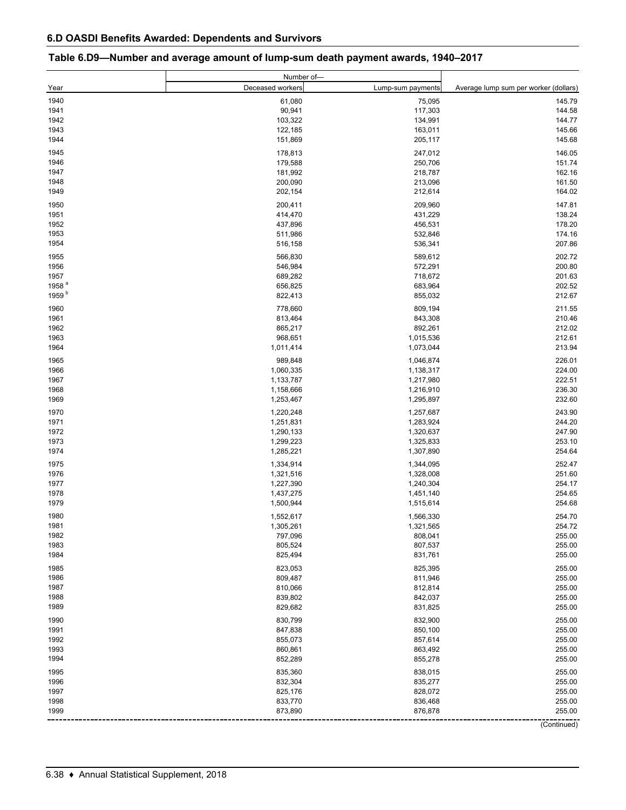|                   | Number of-         |                      |                                       |
|-------------------|--------------------|----------------------|---------------------------------------|
| Year              | Deceased workers   | Lump-sum payments    | Average lump sum per worker (dollars) |
| 1940              | 61,080             | 75,095               | 145.79                                |
| 1941              | 90,941             | 117,303              | 144.58                                |
| 1942              | 103,322            | 134,991              | 144.77                                |
| 1943              | 122,185            | 163,011              | 145.66                                |
| 1944              | 151,869            | 205,117              | 145.68                                |
|                   |                    |                      |                                       |
| 1945              | 178,813            | 247,012              | 146.05                                |
| 1946              | 179,588            | 250,706              | 151.74                                |
| 1947              | 181,992            | 218,787              | 162.16                                |
| 1948              | 200,090            | 213,096              | 161.50                                |
| 1949              | 202,154            | 212,614              | 164.02                                |
| 1950              | 200,411            | 209,960              | 147.81                                |
| 1951              | 414,470            | 431,229              | 138.24                                |
| 1952              | 437,896            | 456,531              | 178.20                                |
| 1953              | 511,986            | 532,846              | 174.16                                |
| 1954              | 516,158            | 536,341              | 207.86                                |
| 1955              | 566,830            | 589,612              | 202.72                                |
| 1956              | 546,984            | 572,291              | 200.80                                |
| 1957              | 689,282            | 718,672              | 201.63                                |
| 1958 <sup>a</sup> | 656,825            | 683,964              | 202.52                                |
| 1959 <sup>b</sup> | 822,413            | 855,032              | 212.67                                |
|                   |                    |                      |                                       |
| 1960              | 778,660            | 809,194              | 211.55                                |
| 1961              | 813,464            | 843,308              | 210.46                                |
| 1962              | 865,217            | 892,261              | 212.02                                |
| 1963              | 968,651            | 1,015,536            | 212.61                                |
| 1964              | 1,011,414          | 1,073,044            | 213.94                                |
| 1965              | 989,848            | 1,046,874            | 226.01                                |
| 1966              | 1,060,335          | 1,138,317            | 224.00                                |
| 1967              | 1,133,787          | 1,217,980            | 222.51                                |
| 1968              | 1,158,666          | 1,216,910            | 236.30                                |
| 1969              | 1,253,467          | 1,295,897            | 232.60                                |
|                   |                    |                      |                                       |
| 1970              | 1,220,248          | 1,257,687            | 243.90                                |
| 1971              | 1,251,831          | 1,283,924            | 244.20                                |
| 1972              | 1,290,133          | 1,320,637            | 247.90                                |
| 1973              | 1,299,223          | 1,325,833            | 253.10                                |
| 1974              | 1,285,221          | 1,307,890            | 254.64                                |
| 1975              | 1,334,914          | 1,344,095            | 252.47                                |
| 1976              | 1,321,516          | 1,328,008            | 251.60                                |
| 1977              | 1,227,390          | 1,240,304            | 254.17                                |
| 1978              | 1,437,275          | 1,451,140            | 254.65                                |
| 1979              | 1,500,944          | 1,515,614            | 254.68                                |
| 1980              | 1,552,617          | 1,566,330            | 254.70                                |
| 1981              | 1,305,261          |                      | 254.72                                |
| 1982              |                    | 1,321,565<br>808,041 | 255.00                                |
|                   | 797,096            |                      |                                       |
| 1983<br>1984      | 805,524<br>825,494 | 807,537<br>831,761   | 255.00<br>255.00                      |
|                   |                    |                      |                                       |
| 1985              | 823,053            | 825,395              | 255.00                                |
| 1986              | 809,487            | 811,946              | 255.00                                |
| 1987              | 810,066            | 812,814              | 255.00                                |
| 1988              | 839,802            | 842,037              | 255.00                                |
| 1989              | 829,682            | 831,825              | 255.00                                |
| 1990              | 830,799            | 832,900              | 255.00                                |
| 1991              | 847,838            | 850,100              | 255.00                                |
| 1992              | 855,073            | 857,614              | 255.00                                |
| 1993              | 860,861            | 863,492              | 255.00                                |
| 1994              | 852,289            | 855,278              | 255.00                                |
|                   |                    |                      |                                       |
| 1995              | 835,360            | 838,015              | 255.00                                |
| 1996              | 832,304            | 835,277              | 255.00                                |
| 1997              | 825,176            | 828,072              | 255.00                                |
| 1998              | 833,770            | 836,468              | 255.00                                |
| 1999              | 873,890            | 876,878              | 255.00                                |
|                   |                    |                      | (Continued)                           |

#### **Table 6.D9—Number and average amount of lump-sum death payment awards, 1940–2017**